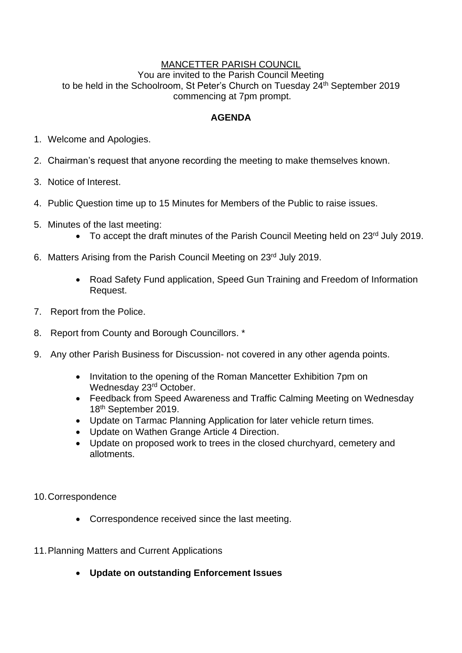#### MANCETTER PARISH COUNCIL

You are invited to the Parish Council Meeting to be held in the Schoolroom, St Peter's Church on Tuesday 24<sup>th</sup> September 2019 commencing at 7pm prompt.

#### **AGENDA**

- 1. Welcome and Apologies.
- 2. Chairman's request that anyone recording the meeting to make themselves known.
- 3. Notice of Interest.
- 4. Public Question time up to 15 Minutes for Members of the Public to raise issues.
- 5. Minutes of the last meeting:
	- To accept the draft minutes of the Parish Council Meeting held on 23<sup>rd</sup> July 2019.
- 6. Matters Arising from the Parish Council Meeting on 23rd July 2019.
	- Road Safety Fund application, Speed Gun Training and Freedom of Information Request.
- 7. Report from the Police.
- 8. Report from County and Borough Councillors. \*
- 9. Any other Parish Business for Discussion- not covered in any other agenda points.
	- Invitation to the opening of the Roman Mancetter Exhibition 7pm on Wednesday 23rd October.
	- Feedback from Speed Awareness and Traffic Calming Meeting on Wednesday 18th September 2019.
	- Update on Tarmac Planning Application for later vehicle return times.
	- Update on Wathen Grange Article 4 Direction.
	- Update on proposed work to trees in the closed churchyard, cemetery and allotments.
- 10.Correspondence
	- Correspondence received since the last meeting.
- 11.Planning Matters and Current Applications
	- **Update on outstanding Enforcement Issues**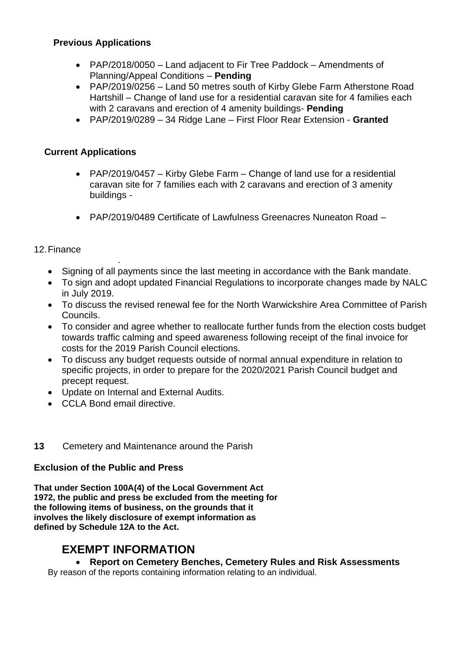### **Previous Applications**

- PAP/2018/0050 Land adjacent to Fir Tree Paddock Amendments of Planning/Appeal Conditions – **Pending**
- PAP/2019/0256 Land 50 metres south of Kirby Glebe Farm Atherstone Road Hartshill – Change of land use for a residential caravan site for 4 families each with 2 caravans and erection of 4 amenity buildings- **Pending**
- PAP/2019/0289 34 Ridge Lane First Floor Rear Extension **Granted**

# **Current Applications**

- PAP/2019/0457 Kirby Glebe Farm Change of land use for a residential caravan site for 7 families each with 2 caravans and erection of 3 amenity buildings -
- PAP/2019/0489 Certificate of Lawfulness Greenacres Nuneaton Road –

## 12.Finance

- . • Signing of all payments since the last meeting in accordance with the Bank mandate.
- To sign and adopt updated Financial Regulations to incorporate changes made by NALC in July 2019.
- To discuss the revised renewal fee for the North Warwickshire Area Committee of Parish Councils.
- To consider and agree whether to reallocate further funds from the election costs budget towards traffic calming and speed awareness following receipt of the final invoice for costs for the 2019 Parish Council elections.
- To discuss any budget requests outside of normal annual expenditure in relation to specific projects, in order to prepare for the 2020/2021 Parish Council budget and precept request.
- Update on Internal and External Audits.
- CCLA Bond email directive.

### **13** Cemetery and Maintenance around the Parish

### **Exclusion of the Public and Press**

**That under Section 100A(4) of the Local Government Act 1972, the public and press be excluded from the meeting for the following items of business, on the grounds that it involves the likely disclosure of exempt information as defined by Schedule 12A to the Act.**

# **EXEMPT INFORMATION**

# • **Report on Cemetery Benches, Cemetery Rules and Risk Assessments**

By reason of the reports containing information relating to an individual.